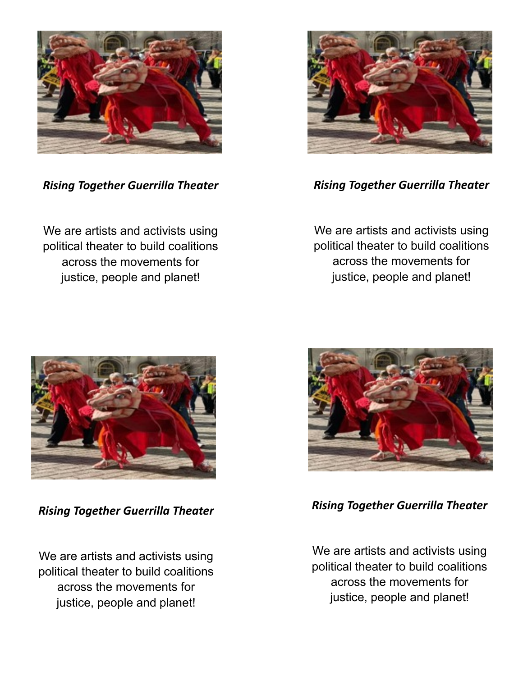

*Rising Together Guerrilla Theater*

We are artists and activists using political theater to build coalitions across the movements for justice, people and planet!



*Rising Together Guerrilla Theater*

We are artists and activists using political theater to build coalitions across the movements for justice, people and planet!



*Rising Together Guerrilla Theater*

We are artists and activists using political theater to build coalitions across the movements for justice, people and planet!



*Rising Together Guerrilla Theater*

We are artists and activists using political theater to build coalitions across the movements for justice, people and planet!